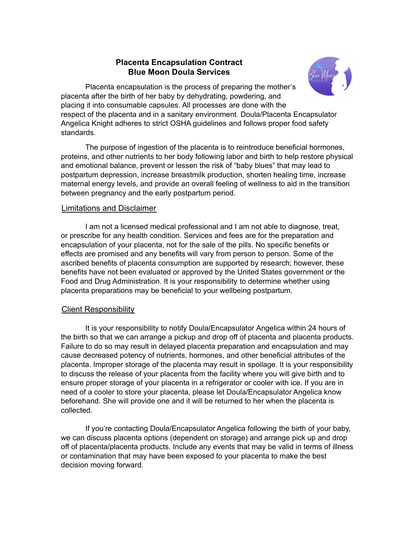# **Placenta Encapsulation Contract Blue Moon Doula Services**



Placenta encapsulation is the process of preparing the mother's placenta after the birth of her baby by dehydrating, powdering, and placing it into consumable capsules. All processes are done with the respect of the placenta and in a sanitary environment. Doula/Placenta Encapsulator Angelica Knight adheres to strict OSHA guidelines and follows proper food safety standards.

The purpose of ingestion of the placenta is to reintroduce beneficial hormones, proteins, and other nutrients to her body following labor and birth to help restore physical and emotional balance, prevent or lessen the risk of "baby blues" that may lead to postpartum depression, increase breastmilk production, shorten healing time, increase maternal energy levels, and provide an overall feeling of wellness to aid in the transition between pregnancy and the early postpartum period.

### Limitations and Disclaimer

I am not a licensed medical professional and I am not able to diagnose, treat, or prescribe for any health condition. Services and fees are for the preparation and encapsulation of your placenta, not for the sale of the pills. No specific benefits or effects are promised and any benefits will vary from person to person. Some of the ascribed benefits of placenta consumption are supported by research; however, these benefits have not been evaluated or approved by the United States government or the Food and Drug Administration. It is your responsibility to determine whether using placenta preparations may be beneficial to your wellbeing postpartum.

### Client Responsibility

It is your responsibility to notify Doula/Encapsulator Angelica within 24 hours of the birth so that we can arrange a pickup and drop off of placenta and placenta products. Failure to do so may result in delayed placenta preparation and encapsulation and may cause decreased potency of nutrients, hormones, and other beneficial attributes of the placenta. Improper storage of the placenta may result in spoilage. It is your responsibility to discuss the release of your placenta from the facility where you will give birth and to ensure proper storage of your placenta in a refrigerator or cooler with ice. If you are in need of a cooler to store your placenta, please let Doula/Encapsulator Angelica know beforehand. She will provide one and it will be returned to her when the placenta is collected.

If you're contacting Doula/Encapsulator Angelica following the birth of your baby, we can discuss placenta options (dependent on storage) and arrange pick up and drop off of placenta/placenta products. Include any events that may be valid in terms of illness or contamination that may have been exposed to your placenta to make the best decision moving forward.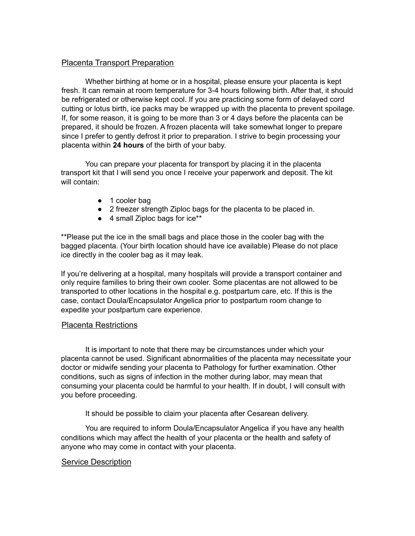## Placenta Transport Preparation

Whether birthing at home or in a hospital, please ensure your placenta is kept fresh. It can remain at room temperature for 3-4 hours following birth. After that, it should be refrigerated or otherwise kept cool. If you are practicing some form of delayed cord cutting or lotus birth, ice packs may be wrapped up with the placenta to prevent spoilage. If, for some reason, it is going to be more than 3 or 4 days before the placenta can be prepared, it should be frozen. A frozen placenta will take somewhat longer to prepare since I prefer to gently defrost it prior to preparation. I strive to begin processing your placenta within **24 hours** of the birth of your baby.

You can prepare your placenta for transport by placing it in the placenta transport kit that I will send you once I receive your paperwork and deposit. The kit will contain:

- 1 cooler bag
- 2 freezer strength Ziploc bags for the placenta to be placed in.
- 4 small Ziploc bags for ice\*\*

\*\*Please put the ice in the small bags and place those in the cooler bag with the bagged placenta. (Your birth location should have ice available) Please do not place ice directly in the cooler bag as it may leak.

If you're delivering at a hospital, many hospitals will provide a transport container and only require families to bring their own cooler. Some placentas are not allowed to be transported to other locations in the hospital e.g. postpartum care, etc. If this is the case, contact Doula/Encapsulator Angelica prior to postpartum room change to expedite your postpartum care experience.

### Placenta Restrictions

It is important to note that there may be circumstances under which your placenta cannot be used. Significant abnormalities of the placenta may necessitate your doctor or midwife sending your placenta to Pathology for further examination. Other conditions, such as signs of infection in the mother during labor, may mean that consuming your placenta could be harmful to your health. If in doubt, I will consult with you before proceeding.

It should be possible to claim your placenta after Cesarean delivery.

You are required to inform Doula/Encapsulator Angelica if you have any health conditions which may affect the health of your placenta or the health and safety of anyone who may come in contact with your placenta.

### Service Description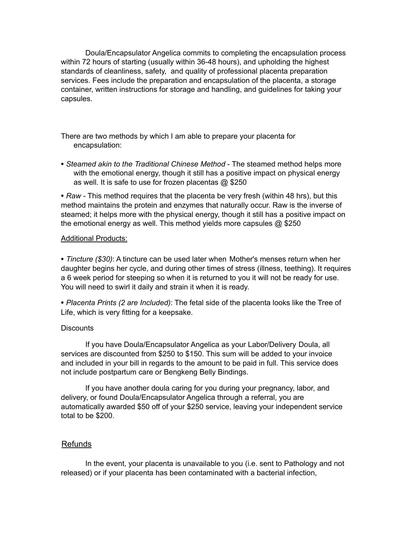Doula/Encapsulator Angelica commits to completing the encapsulation process within 72 hours of starting (usually within 36-48 hours), and upholding the highest standards of cleanliness, safety, and quality of professional placenta preparation services. Fees include the preparation and encapsulation of the placenta, a storage container, written instructions for storage and handling, and guidelines for taking your capsules.

There are two methods by which I am able to prepare your placenta for encapsulation:

⦁ *Steamed akin to the Traditional Chinese Method* - The steamed method helps more with the emotional energy, though it still has a positive impact on physical energy as well. It is safe to use for frozen placentas @ \$250

⦁ *Raw -* This method requires that the placenta be very fresh (within 48 hrs), but this method maintains the protein and enzymes that naturally occur. Raw is the inverse of steamed; it helps more with the physical energy, though it still has a positive impact on the emotional energy as well. This method yields more capsules @ \$250

### Additional Products:

⦁ *Tincture (\$30)*: A tincture can be used later when Mother's menses return when her daughter begins her cycle, and during other times of stress (illness, teething). It requires a 6 week period for steeping so when it is returned to you it will not be ready for use. You will need to swirl it daily and strain it when it is ready.

⦁ *Placenta Prints (2 are Included)*: The fetal side of the placenta looks like the Tree of Life, which is very fitting for a keepsake.

#### **Discounts**

If you have Doula/Encapsulator Angelica as your Labor/Delivery Doula, all services are discounted from \$250 to \$150. This sum will be added to your invoice and included in your bill in regards to the amount to be paid in full. This service does not include postpartum care or Bengkeng Belly Bindings.

If you have another doula caring for you during your pregnancy, labor, and delivery, or found Doula/Encapsulator Angelica through a referral, you are automatically awarded \$50 off of your \$250 service, leaving your independent service total to be \$200.

### Refunds

In the event, your placenta is unavailable to you (i.e. sent to Pathology and not released) or if your placenta has been contaminated with a bacterial infection,